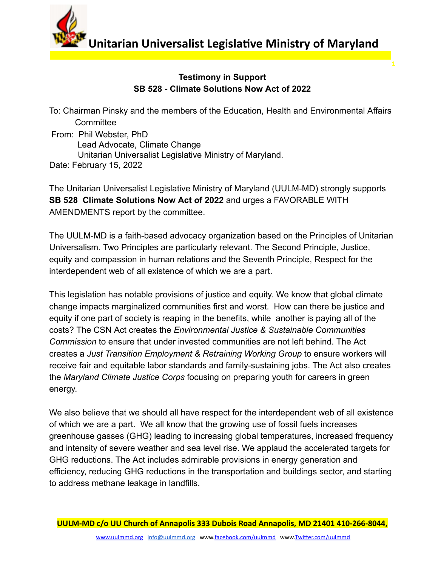

**Unitarian Universalist Legislative Ministry of Maryland** 

**1**

## **Testimony in Support SB 528 - Climate Solutions Now Act of 2022**

To: Chairman Pinsky and the members of the Education, Health and Environmental Affairs **Committee** From: Phil Webster, PhD Lead Advocate, Climate Change Unitarian Universalist Legislative Ministry of Maryland. Date: February 15, 2022

The Unitarian Universalist Legislative Ministry of Maryland (UULM-MD) strongly supports **SB 528 Climate Solutions Now Act of 2022** and urges a FAVORABLE WITH AMENDMENTS report by the committee.

The UULM-MD is a faith-based advocacy organization based on the Principles of Unitarian Universalism. Two Principles are particularly relevant. The Second Principle, Justice, equity and compassion in human relations and the Seventh Principle, Respect for the interdependent web of all existence of which we are a part.

This legislation has notable provisions of justice and equity. We know that global climate change impacts marginalized communities first and worst. How can there be justice and equity if one part of society is reaping in the benefits, while another is paying all of the costs? The CSN Act creates the *Environmental Justice & Sustainable Communities Commission* to ensure that under invested communities are not left behind. The Act creates a *Just Transition Employment & Retraining Working Group* to ensure workers will receive fair and equitable labor standards and family-sustaining jobs. The Act also creates the *Maryland Climate Justice Corps* focusing on preparing youth for careers in green energy.

We also believe that we should all have respect for the interdependent web of all existence of which we are a part. We all know that the growing use of fossil fuels increases greenhouse gasses (GHG) leading to increasing global temperatures, increased frequency and intensity of severe weather and sea level rise. We applaud the accelerated targets for GHG reductions. The Act includes admirable provisions in energy generation and efficiency, reducing GHG reductions in the transportation and buildings sector, and starting to address methane leakage in landfills.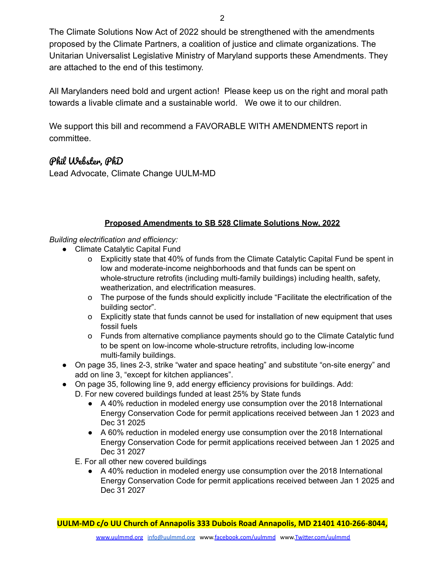The Climate Solutions Now Act of 2022 should be strengthened with the amendments proposed by the Climate Partners, a coalition of justice and climate organizations. The Unitarian Universalist Legislative Ministry of Maryland supports these Amendments. They are attached to the end of this testimony.

All Marylanders need bold and urgent action! Please keep us on the right and moral path towards a livable climate and a sustainable world. We owe it to our children.

We support this bill and recommend a FAVORABLE WITH AMENDMENTS report in committee.

## Phil Webster, PhD

Lead Advocate, Climate Change UULM-MD

## **Proposed Amendments to SB 528 Climate Solutions Now, 2022**

*Building electrification and efficiency:*

- Climate Catalytic Capital Fund
	- o Explicitly state that 40% of funds from the Climate Catalytic Capital Fund be spent in low and moderate-income neighborhoods and that funds can be spent on whole-structure retrofits (including multi-family buildings) including health, safety, weatherization, and electrification measures.
	- o The purpose of the funds should explicitly include "Facilitate the electrification of the building sector".
	- o Explicitly state that funds cannot be used for installation of new equipment that uses fossil fuels
	- o Funds from alternative compliance payments should go to the Climate Catalytic fund to be spent on low-income whole-structure retrofits, including low-income multi-family buildings.
- On page 35, lines 2-3, strike "water and space heating" and substitute "on-site energy" and add on line 3, "except for kitchen appliances".
- On page 35, following line 9, add energy efficiency provisions for buildings. Add:
	- D. For new covered buildings funded at least 25% by State funds
		- A 40% reduction in modeled energy use consumption over the 2018 International Energy Conservation Code for permit applications received between Jan 1 2023 and Dec 31 2025
		- A 60% reduction in modeled energy use consumption over the 2018 International Energy Conservation Code for permit applications received between Jan 1 2025 and Dec 31 2027
	- E. For all other new covered buildings
		- A 40% reduction in modeled energy use consumption over the 2018 International Energy Conservation Code for permit applications received between Jan 1 2025 and Dec 31 2027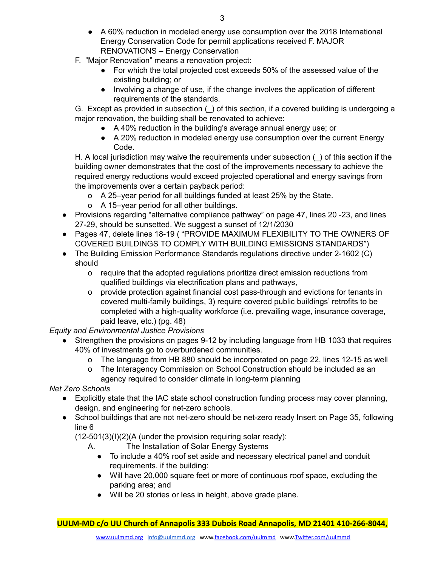- A 60% reduction in modeled energy use consumption over the 2018 International Energy Conservation Code for permit applications received F. MAJOR RENOVATIONS – Energy Conservation
- F. "Major Renovation" means a renovation project:
	- For which the total projected cost exceeds 50% of the assessed value of the existing building; or
	- Involving a change of use, if the change involves the application of different requirements of the standards.

G. Except as provided in subsection () of this section, if a covered building is undergoing a major renovation, the building shall be renovated to achieve:

- A 40% reduction in the building's average annual energy use; or
- A 20% reduction in modeled energy use consumption over the current Energy Code.

H. A local jurisdiction may waive the requirements under subsection () of this section if the building owner demonstrates that the cost of the improvements necessary to achieve the required energy reductions would exceed projected operational and energy savings from the improvements over a certain payback period:

- o A 25–year period for all buildings funded at least 25% by the State.
- o A 15–year period for all other buildings.
- Provisions regarding "alternative compliance pathway" on page 47, lines 20 -23, and lines 27-29, should be sunsetted. We suggest a sunset of 12/1/2030
- Pages 47, delete lines 18-19 ( "PROVIDE MAXIMUM FLEXIBILITY TO THE OWNERS OF COVERED BUILDINGS TO COMPLY WITH BUILDING EMISSIONS STANDARDS")
- The Building Emission Performance Standards regulations directive under 2-1602 (C) should
	- o require that the adopted regulations prioritize direct emission reductions from qualified buildings via electrification plans and pathways,
	- o provide protection against financial cost pass-through and evictions for tenants in covered multi-family buildings, 3) require covered public buildings' retrofits to be completed with a high-quality workforce (i.e. prevailing wage, insurance coverage, paid leave, etc.) (pg. 48)

*Equity and Environmental Justice Provisions*

- Strengthen the provisions on pages 9-12 by including language from HB 1033 that requires 40% of investments go to overburdened communities.
	- o The language from HB 880 should be incorporated on page 22, lines 12-15 as well
	- o The Interagency Commission on School Construction should be included as an agency required to consider climate in long-term planning

*Net Zero Schools*

- Explicitly state that the IAC state school construction funding process may cover planning, design, and engineering for net-zero schools.
- School buildings that are not net-zero should be net-zero ready Insert on Page 35, following line 6

 $(12-501(3)(I)(2)(A)$  (under the provision requiring solar ready):

- A. The Installation of Solar Energy Systems
	- To include a 40% roof set aside and necessary electrical panel and conduit requirements. if the building:
	- Will have 20,000 square feet or more of continuous roof space, excluding the parking area; and
	- Will be 20 stories or less in height, above grade plane.